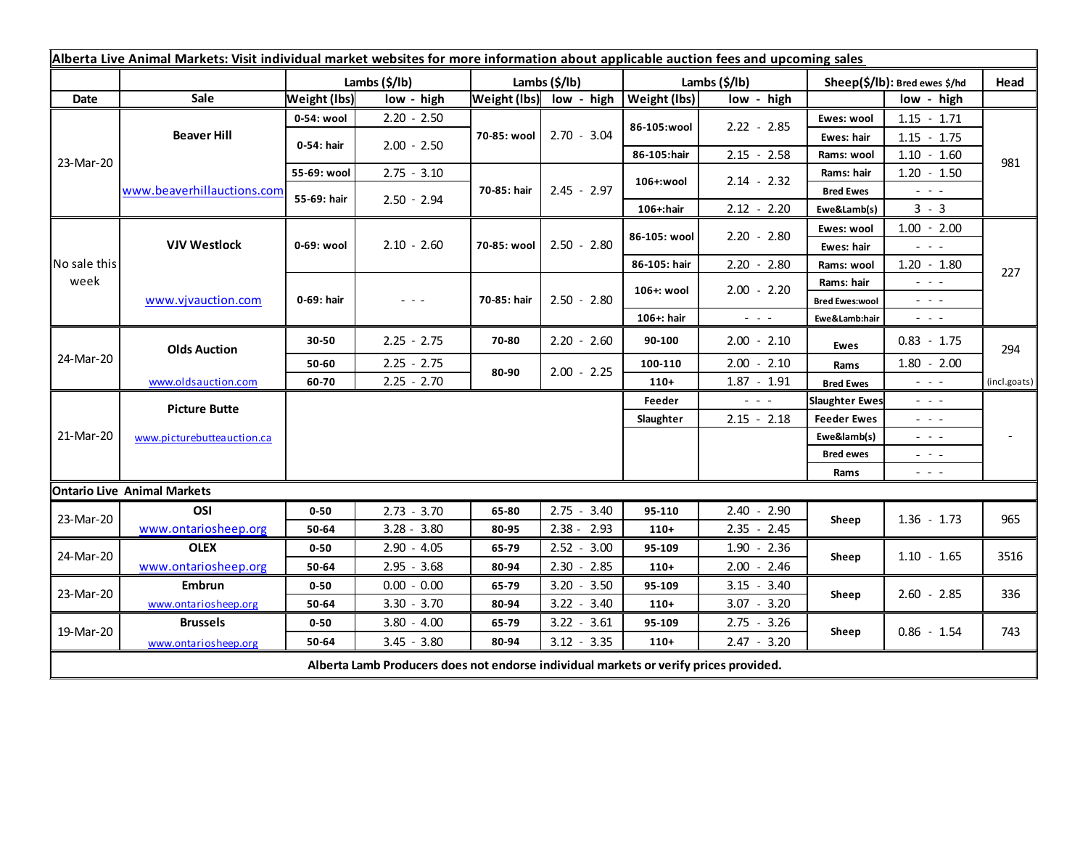| Alberta Live Animal Markets: Visit individual market websites for more information about applicable auction fees and upcoming sales |                                    |                     |                           |                         |               |         |               |                                                                                                |                               |                                                                                                                        |              |
|-------------------------------------------------------------------------------------------------------------------------------------|------------------------------------|---------------------|---------------------------|-------------------------|---------------|---------|---------------|------------------------------------------------------------------------------------------------|-------------------------------|------------------------------------------------------------------------------------------------------------------------|--------------|
|                                                                                                                                     |                                    |                     | Lambs $(\frac{2}{3})$ lb) | Lambs $(\frac{2}{3})$   |               |         | Lambs (\$/lb) |                                                                                                | Sheep(\$/lb): Bred ewes \$/hd |                                                                                                                        | Head         |
| Date                                                                                                                                | Sale                               | <b>Weight (lbs)</b> | low - high                | Weight (lbs) low - high |               |         | Weight (lbs)  | low - high                                                                                     |                               | low - high                                                                                                             |              |
| 23-Mar-20                                                                                                                           | <b>Beaver Hill</b>                 | 0-54: wool          | $2.20 - 2.50$             | 70-85: wool             | $2.70 - 3.04$ |         | 86-105:wool   | $2.22 - 2.85$                                                                                  | Ewes: wool                    | $1.15 - 1.71$                                                                                                          |              |
|                                                                                                                                     |                                    | 0-54: hair          | $2.00 - 2.50$             |                         |               |         |               |                                                                                                | Ewes: hair                    | $1.15 - 1.75$                                                                                                          |              |
|                                                                                                                                     |                                    |                     |                           |                         |               |         | 86-105:hair   | $2.15 - 2.58$                                                                                  | Rams: wool                    | $1.10 - 1.60$                                                                                                          | 981          |
|                                                                                                                                     | www.beaverhillauctions.com         | 55-69: wool         | $2.75 - 3.10$             | 70-85: hair             | $2.45 - 2.97$ |         | 106+:wool     | $2.14 - 2.32$                                                                                  | Rams: hair                    | $1.20 - 1.50$                                                                                                          |              |
|                                                                                                                                     |                                    | 55-69: hair         | $2.50 - 2.94$             |                         |               |         |               |                                                                                                | <b>Bred Ewes</b>              | - - -                                                                                                                  |              |
|                                                                                                                                     |                                    |                     |                           |                         |               |         | 106+:hair     | $2.12 - 2.20$                                                                                  | Ewe&Lamb(s)                   | $3 - 3$                                                                                                                |              |
| No sale this<br>week                                                                                                                | <b>VJV Westlock</b>                | 0-69: wool          | $2.10 - 2.60$             | 70-85: wool             | $2.50 - 2.80$ |         | 86-105: wool  | $2.20 - 2.80$                                                                                  | Ewes: wool                    | $1.00 - 2.00$                                                                                                          |              |
|                                                                                                                                     |                                    |                     |                           |                         |               |         |               |                                                                                                | Ewes: hair                    | $  -$                                                                                                                  |              |
|                                                                                                                                     |                                    |                     |                           |                         |               |         | 86-105: hair  | $2.20 - 2.80$                                                                                  | Rams: wool                    | $1.20 - 1.80$                                                                                                          | 227          |
|                                                                                                                                     | www.vjvauction.com                 | 0-69: hair          | - - -                     | 70-85: hair             | $2.50 - 2.80$ |         | 106+: wool    | $2.00 - 2.20$                                                                                  | Rams: hair                    | $  -$                                                                                                                  |              |
|                                                                                                                                     |                                    |                     |                           |                         |               |         |               |                                                                                                | <b>Bred Ewes:wool</b>         | $  -$                                                                                                                  |              |
|                                                                                                                                     |                                    |                     |                           |                         |               |         | 106+: hair    | $\frac{1}{2} \left( \frac{1}{2} \right) \left( \frac{1}{2} \right) \left( \frac{1}{2} \right)$ | Ewe&Lamb:hair                 | $\frac{1}{2} \left( \frac{1}{2} \right) \frac{1}{2} \left( \frac{1}{2} \right) \frac{1}{2} \left( \frac{1}{2} \right)$ |              |
| 24-Mar-20                                                                                                                           | <b>Olds Auction</b>                | 30-50               | $2.25 - 2.75$             | 70-80                   | $2.20 - 2.60$ |         | 90-100        | $2.00 - 2.10$                                                                                  | Ewes                          | $0.83 - 1.75$                                                                                                          | 294          |
|                                                                                                                                     |                                    | 50-60               | $2.25 - 2.75$             | 80-90                   | $2.00 - 2.25$ |         | 100-110       | $2.00 - 2.10$                                                                                  | Rams                          | $1.80 - 2.00$                                                                                                          |              |
|                                                                                                                                     | www.oldsauction.com                | 60-70               | $2.25 - 2.70$             |                         |               |         | $110+$        | $1.87 - 1.91$                                                                                  | <b>Bred Ewes</b>              | $\frac{1}{2} \left( \frac{1}{2} \right) \left( \frac{1}{2} \right) \left( \frac{1}{2} \right)$                         | (incl.goats) |
| 21-Mar-20                                                                                                                           | <b>Picture Butte</b>               |                     |                           |                         |               |         | Feeder        | $  -$                                                                                          | <b>Slaughter Ewes</b>         | $ -$                                                                                                                   |              |
|                                                                                                                                     | www.picturebutteauction.ca         |                     |                           |                         |               |         | Slaughter     | $2.15 - 2.18$                                                                                  | <b>Feeder Ewes</b>            | $  -$                                                                                                                  |              |
|                                                                                                                                     |                                    |                     |                           |                         |               |         |               | Ewe&lamb(s)                                                                                    |                               | - - -                                                                                                                  |              |
|                                                                                                                                     |                                    |                     |                           |                         |               |         |               |                                                                                                | <b>Bred ewes</b>              | $\frac{1}{2} \left( \frac{1}{2} \right) \frac{1}{2} \left( \frac{1}{2} \right) \frac{1}{2} \left( \frac{1}{2} \right)$ |              |
|                                                                                                                                     |                                    |                     |                           |                         |               |         |               |                                                                                                | Rams                          | $\frac{1}{2} \left( \frac{1}{2} \right) \frac{1}{2} \left( \frac{1}{2} \right) \frac{1}{2} \left( \frac{1}{2} \right)$ |              |
|                                                                                                                                     | <b>Ontario Live Animal Markets</b> |                     |                           |                         |               |         |               |                                                                                                |                               |                                                                                                                        |              |
| 23-Mar-20                                                                                                                           | OSI                                | $0 - 50$            | $2.73 - 3.70$             | 65-80                   | 2.75          | $-3.40$ | 95-110        | $2.40 - 2.90$                                                                                  | Sheep                         | $1.36 - 1.73$                                                                                                          | 965          |
|                                                                                                                                     | www.ontariosheep.org               | 50-64               | $3.28 - 3.80$             | 80-95                   | $2.38 - 2.93$ |         | $110+$        | $2.35 - 2.45$                                                                                  |                               |                                                                                                                        |              |
| 24-Mar-20                                                                                                                           | <b>OLEX</b>                        | $0 - 50$            | $2.90 - 4.05$             | 65-79                   | $2.52 - 3.00$ |         | 95-109        | $1.90 - 2.36$                                                                                  | Sheep<br>$2.00 - 2.46$        | $1.10 - 1.65$                                                                                                          | 3516         |
|                                                                                                                                     | www.ontariosheep.org               | 50-64               | $2.95 - 3.68$             | 80-94                   | $2.30 - 2.85$ |         | $110+$        |                                                                                                |                               |                                                                                                                        |              |
| 23-Mar-20                                                                                                                           | <b>Embrun</b>                      | $0 - 50$            | $0.00 - 0.00$             | 65-79                   | $3.20 - 3.50$ |         | 95-109        | $3.15 - 3.40$                                                                                  | Sheep                         | $2.60 - 2.85$                                                                                                          | 336          |
|                                                                                                                                     | www.ontariosheep.org               | 50-64               | $3.30 - 3.70$             | 80-94                   | $3.22 - 3.40$ |         | $110+$        | $3.07 - 3.20$                                                                                  |                               |                                                                                                                        |              |
| 19-Mar-20                                                                                                                           | <b>Brussels</b>                    | $0 - 50$            | $3.80 - 4.00$             | 65-79                   | $3.22 - 3.61$ |         | 95-109        | $2.75 - 3.26$                                                                                  | Sheep                         | $0.86 - 1.54$                                                                                                          | 743          |
|                                                                                                                                     | www.ontariosheep.org               | 50-64               | $3.45 - 3.80$             | 80-94                   | $3.12 - 3.35$ |         | $110+$        | $2.47 - 3.20$                                                                                  |                               |                                                                                                                        |              |
| Alberta Lamb Producers does not endorse individual markets or verify prices provided.                                               |                                    |                     |                           |                         |               |         |               |                                                                                                |                               |                                                                                                                        |              |